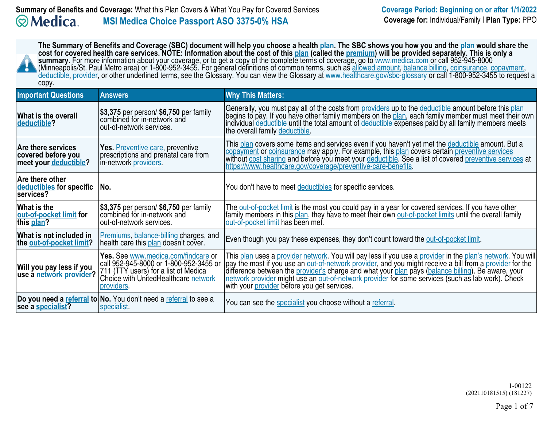| The Summary of Benefits and Coverage (SBC) document will help you choose a health plan. The SBC shows you how you and the plan would share the<br>cost for covered health care services. NOTE: Information about the cost of this plan (called the premium) will be provided separately. This is only a<br>summary. For more information about your coverage, or to get a copy of the complete terms of coverage, go to www.medica.com or call 952-945-8000<br>(Minneapolis/St. Paul Metro area) or 1-800-952-3455. For general definitions of common terms, such as allowed amount, balance billing, coinsurance, copayment,<br>deductible, provider, or other underlined terms, see the Glossary. You can view the Glossary at www.healthcare.gov/sbc-glossary or call 1-800-952-3455 to request a<br>copy. |                                                                                                                                                                             |                                                                                                                                                                                                                                                                                                                                                                                                                                                                                         |  |
|---------------------------------------------------------------------------------------------------------------------------------------------------------------------------------------------------------------------------------------------------------------------------------------------------------------------------------------------------------------------------------------------------------------------------------------------------------------------------------------------------------------------------------------------------------------------------------------------------------------------------------------------------------------------------------------------------------------------------------------------------------------------------------------------------------------|-----------------------------------------------------------------------------------------------------------------------------------------------------------------------------|-----------------------------------------------------------------------------------------------------------------------------------------------------------------------------------------------------------------------------------------------------------------------------------------------------------------------------------------------------------------------------------------------------------------------------------------------------------------------------------------|--|
| <b>Important Questions</b>                                                                                                                                                                                                                                                                                                                                                                                                                                                                                                                                                                                                                                                                                                                                                                                    | <b>Answers</b>                                                                                                                                                              | <b>Why This Matters:</b>                                                                                                                                                                                                                                                                                                                                                                                                                                                                |  |
| <b>What is the overall</b><br>deductible?                                                                                                                                                                                                                                                                                                                                                                                                                                                                                                                                                                                                                                                                                                                                                                     | $\vert$ \$3,375 per person/ \$6,750 per family<br>combined for in-network and<br>out-of-network services.                                                                   | Generally, you must pay all of the costs from providers up to the deductible amount before this plan<br>begins to pay. If you have other family members on the plan, each family member must meet their own<br>individual deductible until the total amount of deductible expenses paid by all family members meets<br>the overall family deductible.                                                                                                                                   |  |
| <b>Are there services</b><br>covered before you<br>meet your deductible?                                                                                                                                                                                                                                                                                                                                                                                                                                                                                                                                                                                                                                                                                                                                      | Yes. Preventive care, preventive<br>prescriptions and prenatal care from<br>in-network providers.                                                                           | This plan covers some items and services even if you haven't yet met the deductible amount. But a<br>copayment or coinsurance may apply. For example, this plan covers certain preventive services<br>without cost sharing and before you meet your deductible. See a list of covered preventive services at<br>https://www.healthcare.gov/coverage/preventive-care-benefits.                                                                                                           |  |
| Are there other<br>deductibles for specific<br>services?                                                                                                                                                                                                                                                                                                                                                                                                                                                                                                                                                                                                                                                                                                                                                      | No.                                                                                                                                                                         | You don't have to meet deductibles for specific services.                                                                                                                                                                                                                                                                                                                                                                                                                               |  |
| What is the<br>out-of-pocket limit for<br>this <u>plan</u> ?                                                                                                                                                                                                                                                                                                                                                                                                                                                                                                                                                                                                                                                                                                                                                  | $\vert$ \$3,375 per person/ \$6,750 per family<br>combined for in-network and<br>out-of-network services.                                                                   | The out-of-pocket limit is the most you could pay in a year for covered services. If you have other<br>family members in this plan, they have to meet their own out-of-pocket limits until the overall family<br>out-of-pocket limit has been met.                                                                                                                                                                                                                                      |  |
| What is not included in<br>the out-of-pocket limit?                                                                                                                                                                                                                                                                                                                                                                                                                                                                                                                                                                                                                                                                                                                                                           | Premiums, balance-billing charges, and<br>health care this plan doesn't cover.                                                                                              | Even though you pay these expenses, they don't count toward the out-of-pocket limit.                                                                                                                                                                                                                                                                                                                                                                                                    |  |
| Will you pay less if you<br>use a network provider?                                                                                                                                                                                                                                                                                                                                                                                                                                                                                                                                                                                                                                                                                                                                                           | Yes. See www.medica.com/findcare or<br>call 952-945-8000 or 1-800-952-3455 or<br>711 (TTY users) for a list of Medica<br>Choice with UnitedHealthcare network<br>providers. | This plan uses a provider network. You will pay less if you use a provider in the plan's network. You will<br>pay the most if you use an out-of-network provider, and you might receive a bill from a provider for the<br>difference between the provider's charge and what your plan pays (balance billing). Be aware, your<br>network provider might use an out-of-network provider for some services (such as lab work). Check<br>with your <i>provider</i> before you get services. |  |
| see a specialist?                                                                                                                                                                                                                                                                                                                                                                                                                                                                                                                                                                                                                                                                                                                                                                                             | Do you need a referral to No. You don't need a referral to see a<br>specialist.                                                                                             | You can see the specialist you choose without a referral.                                                                                                                                                                                                                                                                                                                                                                                                                               |  |

1-00122 (202110181515) (181227)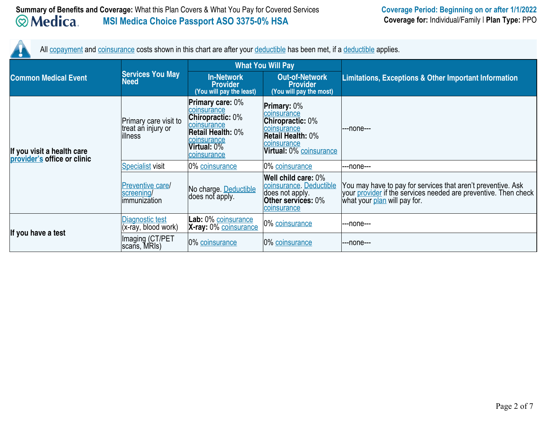All copayment and coinsurance costs shown in this chart are after your deductible has been met, if a deductible applies.

|                                                           |                                                              | <b>What You Will Pay</b>                                                                                                                                  |                                                                                                                                                   |                                                                                                                                                                 |  |
|-----------------------------------------------------------|--------------------------------------------------------------|-----------------------------------------------------------------------------------------------------------------------------------------------------------|---------------------------------------------------------------------------------------------------------------------------------------------------|-----------------------------------------------------------------------------------------------------------------------------------------------------------------|--|
| <b>Common Medical Event</b>                               | <b>Services You May</b><br><b>Need</b>                       | <b>In-Network</b><br><b>Provider</b><br>(You will pay the least)                                                                                          | <b>Out-of-Network</b><br><b>Provider</b><br>(You will pay the most)                                                                               | <b>Limitations, Exceptions &amp; Other Important Information</b>                                                                                                |  |
| If you visit a health care<br>provider's office or clinic | Primary care visit to<br>treat an injury or<br>illness       | <b>Primary care: 0%</b><br>coinsurance<br><b>Chiropractic: 0%</b><br>coinsurance<br><b>Retail Health: 0%</b><br>coinsurance<br>Virtual: 0%<br>coinsurance | <b>Primary: 0%</b><br>coinsurance<br><b>Chiropractic: 0%</b><br>coinsurance<br><b>Retail Health: 0%</b><br>coinsurance<br>Virtual: 0% coinsurance | ---none---                                                                                                                                                      |  |
|                                                           | <b>Specialist visit</b>                                      | 0% coinsurance                                                                                                                                            | 0% coinsurance                                                                                                                                    | ---none---                                                                                                                                                      |  |
|                                                           | <b>Preventive care/</b><br>screening/<br><i>immunization</i> | No charge. Deductible<br>does not apply.                                                                                                                  | Well child care: 0%<br>coinsurance. Deductible<br>does not apply.<br><b>Other services: 0%</b><br>coinsurance                                     | You may have to pay for services that aren't preventive. Ask<br>your provider if the services needed are preventive. Then check<br>what your plan will pay for. |  |
| If you have a test                                        | Diagnostic test<br>(x-ray, blood work)                       | Lab: 0% coinsurance<br>X-ray: 0% coinsurance                                                                                                              | 0% coinsurance                                                                                                                                    | ---none---                                                                                                                                                      |  |
|                                                           | Imaging (CT/PET<br>scans, MRIs)                              | 0% coinsurance                                                                                                                                            | 0% coinsurance                                                                                                                                    | ---none---                                                                                                                                                      |  |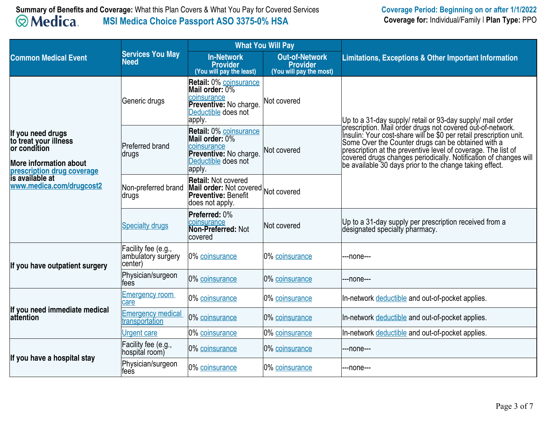|                                                                                                                           |                                                      | <b>What You Will Pay</b>                                                                                                  |                                                                     |                                                                                                                                                                                                                                                                                                                          |  |
|---------------------------------------------------------------------------------------------------------------------------|------------------------------------------------------|---------------------------------------------------------------------------------------------------------------------------|---------------------------------------------------------------------|--------------------------------------------------------------------------------------------------------------------------------------------------------------------------------------------------------------------------------------------------------------------------------------------------------------------------|--|
| <b>Common Medical Event</b>                                                                                               | <b>Services You May</b><br><b>Need</b>               | <b>In-Network</b><br><b>Provider</b><br>(You will pay the least)                                                          | <b>Out-of-Network</b><br><b>Provider</b><br>(You will pay the most) | <b>Limitations, Exceptions &amp; Other Important Information</b>                                                                                                                                                                                                                                                         |  |
|                                                                                                                           | Generic drugs                                        | <b>Retail: 0% coinsurance</b><br>Mail order: 0%<br>coinsurance<br>Preventive: No charge.<br>Deductible does not<br>apply. | Not covered                                                         | Up to a 31-day supply/ retail or 93-day supply/ mail order<br>prescription. Mail order drugs not covered out-of-network.                                                                                                                                                                                                 |  |
| If you need drugs<br>to treat your illness<br>or condition<br><b>More information about</b><br>prescription drug coverage | Preferred brand<br>∣drugs                            | <b>Retail: 0% coinsurance</b><br>Mail order: 0%<br>coinsurance<br>Preventive: No charge.<br>Deductible does not<br>apply. | Not covered                                                         | Insulin: Your cost-share will be \$0 per retail prescription unit.<br>Some Over the Counter drugs can be obtained with a<br>prescription at the preventive level of coverage. The list of<br>covered drugs changes periodically. Notification of changes will<br>be available 30 days prior to the change taking effect. |  |
| is available at<br>www.medica.com/drugcost2                                                                               | Non-preferred brand<br>drugs                         | <b>Retail: Not covered</b><br>Mail order: Not covered Not covered<br><b>Preventive: Benefit</b><br>does not apply.        |                                                                     |                                                                                                                                                                                                                                                                                                                          |  |
|                                                                                                                           | <b>Specialty drugs</b>                               | Preferred: 0%<br>coinsurance<br><b>Non-Preferred: Not</b><br>covered                                                      | Not covered                                                         | Up to a 31-day supply per prescription received from a<br>designated specialty pharmacy.                                                                                                                                                                                                                                 |  |
| If you have outpatient surgery                                                                                            | Facility fee (e.g.,<br>ambulatory surgery<br>center) | 0% coinsurance                                                                                                            | 0% coinsurance                                                      | ---none---                                                                                                                                                                                                                                                                                                               |  |
|                                                                                                                           | Physician/surgeon<br>fees                            | 0% coinsurance                                                                                                            | 0% coinsurance                                                      | ---none---                                                                                                                                                                                                                                                                                                               |  |
|                                                                                                                           | <b>Emergency room</b><br>care                        | 0% coinsurance                                                                                                            | 0% coinsurance                                                      | In-network deductible and out-of-pocket applies.                                                                                                                                                                                                                                                                         |  |
| If you need immediate medical<br>lattention                                                                               | <b>Emergency medical</b><br>transportation           | 0% coinsurance                                                                                                            | 0% coinsurance                                                      | In-network deductible and out-of-pocket applies.                                                                                                                                                                                                                                                                         |  |
|                                                                                                                           | <b>Urgent care</b>                                   | 0% coinsurance                                                                                                            | 0% coinsurance                                                      | In-network deductible and out-of-pocket applies.                                                                                                                                                                                                                                                                         |  |
| If you have a hospital stay                                                                                               | Facility fee (e.g.,<br>hospital room)                | 0% coinsurance                                                                                                            | 0% coinsurance                                                      | ---none---                                                                                                                                                                                                                                                                                                               |  |
|                                                                                                                           | Physician/surgeon<br>fees                            | 0% coinsurance                                                                                                            | 0% coinsurance                                                      | ---none---                                                                                                                                                                                                                                                                                                               |  |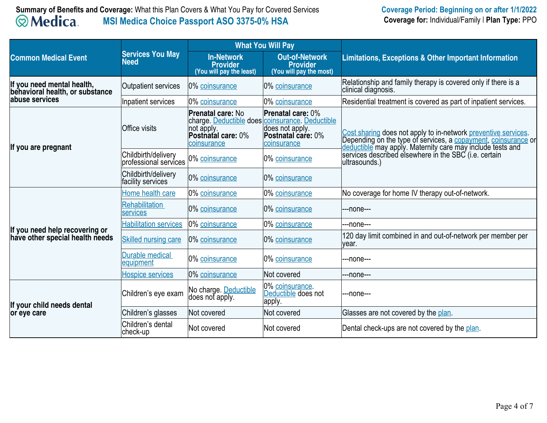# **Summary of Benefits and Coverage:** What this Plan Covers & What You Pay for Covered Services **Coverage Period: Beginning on or after 1/1/2022**<br>**Coverage Period: Beginning on or after 1/1/2022**<br>**Coverage for:** Individual/F **MSI Medica Choice Passport ASO 3375-0% HSA**

|                                                                   |                                              | <b>What You Will Pay</b>                                                                                                              |                                                                                         |                                                                                                                                                                                                                                                                          |  |
|-------------------------------------------------------------------|----------------------------------------------|---------------------------------------------------------------------------------------------------------------------------------------|-----------------------------------------------------------------------------------------|--------------------------------------------------------------------------------------------------------------------------------------------------------------------------------------------------------------------------------------------------------------------------|--|
| <b>Common Medical Event</b>                                       | <b>Services You May</b><br><b>Need</b>       | <b>In-Network</b><br><b>Provider</b><br>(You will pay the least)                                                                      | <b>Out-of-Network</b><br><b>Provider</b><br>(You will pay the most)                     | <b>Limitations, Exceptions &amp; Other Important Information</b>                                                                                                                                                                                                         |  |
| If you need mental health,<br>behavioral health, or substance     | Outpatient services                          | 0% coinsurance                                                                                                                        | 0% coinsurance                                                                          | Relationship and family therapy is covered only if there is a<br>clinical diagnosis.                                                                                                                                                                                     |  |
| labuse services                                                   | Inpatient services                           | 0% coinsurance                                                                                                                        | 0% coinsurance                                                                          | Residential treatment is covered as part of inpatient services.                                                                                                                                                                                                          |  |
| If you are pregnant                                               | <b>Office visits</b>                         | <b>Prenatal care: No</b><br>charge. Deductible does coinsurance. Deductible<br>not apply.<br><b>Postnatal care: 0%</b><br>coinsurance | <b>Prenatal care: 0%</b><br>does not apply.<br><b>Postnatal care: 0%</b><br>coinsurance | Cost sharing does not apply to in-network preventive services.<br>Depending on the type of services, a copayment, coinsurance or<br>deductible may apply. Maternity care may include tests and<br>services described elsewhere in the SBC (i.e. certain<br>ultrasounds.) |  |
|                                                                   | Childbirth/delivery<br>professional services | 0% coinsurance                                                                                                                        | 0% coinsurance                                                                          |                                                                                                                                                                                                                                                                          |  |
|                                                                   | Childbirth/delivery<br>facility services     | 0% coinsurance                                                                                                                        | 0% coinsurance                                                                          |                                                                                                                                                                                                                                                                          |  |
|                                                                   | Home health care                             | 0% coinsurance                                                                                                                        | 0% coinsurance                                                                          | No coverage for home IV therapy out-of-network.                                                                                                                                                                                                                          |  |
|                                                                   | <b>Rehabilitation</b><br>services            | 0% coinsurance                                                                                                                        | 0% coinsurance                                                                          | --none---                                                                                                                                                                                                                                                                |  |
|                                                                   | <b>Habilitation services</b>                 | 0% coinsurance                                                                                                                        | 0% coinsurance                                                                          | --none---                                                                                                                                                                                                                                                                |  |
| If you need help recovering or<br>have other special health needs | <b>Skilled nursing care</b>                  | 0% coinsurance                                                                                                                        | 0% coinsurance                                                                          | 120 day limit combined in and out-of-network per member per<br>year.                                                                                                                                                                                                     |  |
|                                                                   | Durable medical<br>equipment                 | 0% coinsurance                                                                                                                        | 0% coinsurance                                                                          | --none---                                                                                                                                                                                                                                                                |  |
|                                                                   | <b>Hospice services</b>                      | 0% coinsurance                                                                                                                        | Not covered                                                                             | --none---                                                                                                                                                                                                                                                                |  |
| If your child needs dental                                        | Children's eye exam                          | No charge. Deductible<br>does not apply.                                                                                              | 0% coinsurance.<br>Deductible does not<br>apply.                                        | --none---                                                                                                                                                                                                                                                                |  |
| or eye care                                                       | Children's glasses                           | Not covered                                                                                                                           | Not covered                                                                             | Glasses are not covered by the plan.                                                                                                                                                                                                                                     |  |
|                                                                   | Children's dental<br>check-up                | Not covered                                                                                                                           | Not covered                                                                             | Dental check-ups are not covered by the plan.                                                                                                                                                                                                                            |  |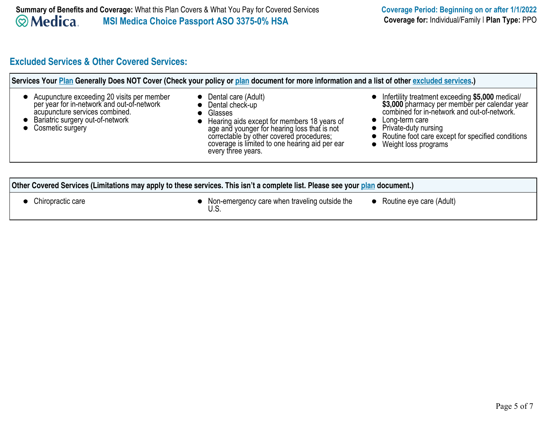# **Excluded Services & Other Covered Services:**

| Services Your Plan Generally Does NOT Cover (Check your policy or plan document for more information and a list of other excluded services.)                                       |                                                                                                                                                                                                                                                                                   |                                                                                                                                                                                                                                                                               |  |
|------------------------------------------------------------------------------------------------------------------------------------------------------------------------------------|-----------------------------------------------------------------------------------------------------------------------------------------------------------------------------------------------------------------------------------------------------------------------------------|-------------------------------------------------------------------------------------------------------------------------------------------------------------------------------------------------------------------------------------------------------------------------------|--|
| Acupuncture exceeding 20 visits per member<br>per year for in-network and out-of-network<br>acupuncture services combined.<br>Bariatric surgery out-of-network<br>Cosmetic surgery | Dental care (Adult)<br>Dental check-up<br>$\bullet$<br>Glasses<br>Hearing aids except for members 18 years of<br>age and younger for hearing loss that is not<br>correctable by other covered procedures;<br>coverage is limited to one hearing aid per ear<br>every three years. | • Infertility treatment exceeding \$5,000 medical/<br>\$3,000 pharmacy per member per calendar year<br>combined for in-network and out-of-network.<br>• Long-term care<br>• Private-duty nursing<br>Routine foot care except for specified conditions<br>Weight loss programs |  |
|                                                                                                                                                                                    |                                                                                                                                                                                                                                                                                   |                                                                                                                                                                                                                                                                               |  |
| Other Covered Services (Limitations may apply to these services. This isn't a complete list. Please see your plan document.)                                                       |                                                                                                                                                                                                                                                                                   |                                                                                                                                                                                                                                                                               |  |
| Chiropractic care                                                                                                                                                                  | • Non-emergency care when traveling outside the<br>U.S.                                                                                                                                                                                                                           | • Routine eye care (Adult)                                                                                                                                                                                                                                                    |  |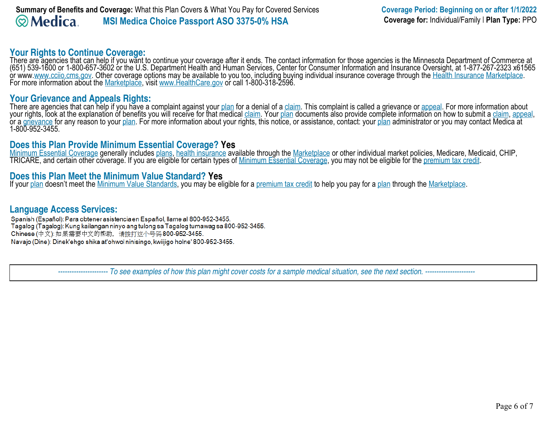## **Your Rights to Continue Coverage:**

There are agencies that can help if you want to continue your coverage after it ends. The contact information for those agencies is the Minnesota Department of Commerce at (651) 539-1600 or 1-800-657-3602 or the U.S. Department Health and Human Services, Center for Consumer Information and Insurance Oversight, at 1-877-267-2323 x61565 or www.www.cciio.cms.gov. Other coverage options may be available to you too, including buying individual insurance coverage through the Health Insurance Marketplace. For more information about the Marketplace, visit www.HealthCare.gov or call 1-800-318-2596.

## **Your Grievance and Appeals Rights:**

There are agencies that can help if you have a complaint against your plan for a denial of a claim. This complaint is called a grievance or appeal. For more information about your rights, look at the explanation of benefits you will receive for that medical <u>claim</u>. Your <u>plan</u> documents also provide complete information on how to submit a <u>claim, appeal,</u> or a <u>grievance</u> for any reason to your <u>plan</u>. For more information about your rights, this notice, or assistance, contact: your <u>plan</u> administrator or you may contact Medica at 1-800-952-3455.

## **Does this Plan Provide Minimum Essential Coverage? Yes**

Minimum Essential Coverage generally includes plans, health insurance available through the Marketplace or other individual market policies, Medicare, Medicaid, CHIP, TRICARE, and certain other coverage. If you are eligible for certain types of Minimum Essential Coverage, you may not be eligible for the premium tax credit.

## **Does this Plan Meet the Minimum Value Standard? Yes**

If your plan doesn't meet the Minimum Value Standards, you may be eligible for a premium tax credit to help you pay for a plan through the Marketplace.

**Language Access Services:** Tagalog (Tagalog): Kung kailangan ninyo ang tulong sa Tagalog tumawag sa 800-952-3455. Chinese (中文): 如果需要中文的帮助, 请拨打这个号码800-952-3455. Navajo (Dine): Dinek'ehgo shika at'ohwol ninisingo, kwiijigo holne' 800-952-3455.

 *---------------------- To see examples of how this plan might cover costs for a sample medical situation, see the next section. ----------------------*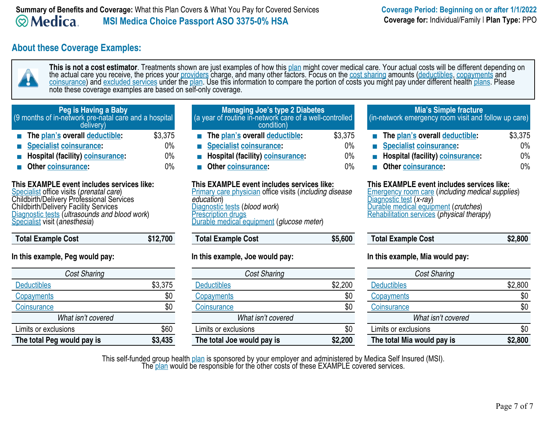## **About these Coverage Examples:**



**This is not a cost estimator**. Treatments shown are just examples of how this plan might cover medical care. Your actual costs will be different depending on the actual care you receive, the prices your <u>providers</u> charge, and many other factors. Focus on the <u>cost sharing</u> amounts (<u>deductibles, copayments</u> and <u>coinsurance</u>) and <u>excluded services</u> under the <u>plan</u>. Use this information to compare the portion of costs you might pay under different health <u>plans</u>. Please note these coverage examples are based on self-only coverage.

| Peg is Having a Baby                                  |
|-------------------------------------------------------|
| (9 months of in-network pre-natal care and a hospital |
| delivery)                                             |

- **The plan's overall deductible:** \$3,375
- **Specialist coinsurance:** 0%
- **Hospital (facility) coinsurance:** 0%
- **Communist Communist Communist Communist Communist Communist Communist Communist Communist Communist Communist Communist Communist Communist Communist Communist Communist Communist Communist Communist Communist Communist C**

#### **This EXAMPLE event includes services like:**

Specialist office visits (*prenatal care*) Childbirth/Delivery Professional Services Childbirth/Delivery Facility Services Diagnostic tests (*ultrasounds and blood work*) Specialist visit (*anesthesia*)

 **Total Example Cost \$12,700** 

## **In this example, Peg would pay:**

| <b>Cost Sharing</b>        |         |
|----------------------------|---------|
| <b>Deductibles</b>         | \$3,375 |
| Copayments                 | \$0     |
| Coinsurance                |         |
| What isn't covered         |         |
| Limits or exclusions       | \$60    |
| The total Peg would pay is | \$3.435 |

#### **Managing Joe's type 2 Diabetes** (a year of routine in-network care of a well-controlled condition)

- **The plan's overall deductible:** \$3,375
- **Specialist coinsurance:** 0%
- **Hospital (facility) coinsurance:** 0%
- **Communist Communist Communist Communist Communist Communist Communist Communist Communist Communist Communist Communist Communist Communist Communist Communist Communist Communist Communist Communist Communist Communist C**

#### **This EXAMPLE event includes services like:**

Primary care physician office visits (*including disease education*) Diagnostic tests (*blood work*) **Prescription drugs** Durable medical equipment (*glucose meter*)

| <b>Total Example Cost</b> | \$5,600 |
|---------------------------|---------|
|                           |         |

## **In this example, Joe would pay:**

| <b>Cost Sharing</b>        |         |
|----------------------------|---------|
| <b>Deductibles</b>         | \$2,200 |
| Copayments                 | \$0     |
| Coinsurance                |         |
| What isn't covered         |         |
| Limits or exclusions       |         |
| The total Joe would pay is | \$2,200 |

## **Mia's Simple fracture**

(in-network emergency room visit and follow up care)

| The plan's overall deductible:          | \$3,375 |
|-----------------------------------------|---------|
| Specialist coinsurance:                 | $0\%$   |
| <b>Hospital (facility)</b> coinsurance: | $0\%$   |
| <b>Other coinsurance:</b>               | በ%      |

## **This EXAMPLE event includes services like:**

Emergency room care (*including medical supplies*) Diagnostic test (*x-ray*) Durable medical equipment (*crutches*) Rehabilitation services (*physical therapy*)

| <b>Total Example Cost</b> | \$2,800 |
|---------------------------|---------|
|---------------------------|---------|

### **In this example, Mia would pay:**

| <b>Cost Sharing</b>        |         |  |
|----------------------------|---------|--|
| <b>Deductibles</b>         | \$2,800 |  |
| Copayments                 |         |  |
| Coinsurance                |         |  |
| What isn't covered         |         |  |
| Limits or exclusions       |         |  |
| The total Mia would pay is | \$2,800 |  |

This self-funded group health plan is sponsored by your employer and administered by Medica Self Insured (MSI).

The plan would be responsible for the other costs of these EXAMPLE covered services.